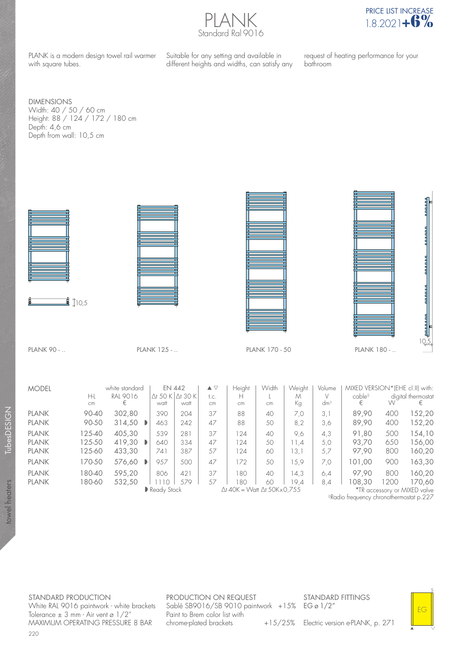PLANK Standard Ral 9016



PLANK is a modern design towel rail warmer with square tubes.

Suitable for any setting and available in different heights and widths, can satisfy any request of heating performance for your bathroom

DIMENSIONS Width: 40 / 50 / 60 cm Height: 88 / 124 / 172 / 180 cm Depth: 4,6 cm Depth from wall: 10,5 cm



 $\frac{1}{3}$  10.5





10,5

**BOODS** 

PLANK 90 - .. PLANK 125 - .. PLANK 170 - 50 PLANK 180 - ..

| <b>MODEL</b>                                 | H-l<br>cm                  | white standard<br>RAI 9016<br>€ | $\Delta$ t 50 K<br>watt | <b>EN 442</b><br>$\Delta$ t 30 K<br>watt | $\blacktriangle \triangledown$<br>t.c.<br>cm | Height<br>cm                                 | Width<br><b>cm</b> | Weight<br>М<br>Кg   | Volume<br>$dm^3$  | MIXED VERSION*(EHE cl.II) with:<br>cable <sup>◊</sup><br>€         | w                 | digital thermostat<br>€    |
|----------------------------------------------|----------------------------|---------------------------------|-------------------------|------------------------------------------|----------------------------------------------|----------------------------------------------|--------------------|---------------------|-------------------|--------------------------------------------------------------------|-------------------|----------------------------|
| <b>PLANK</b><br><b>PLANK</b>                 | 90-40<br>90-50             | 302.80<br>314,50<br>Ð           | 390<br>463              | 204<br>242                               | 37<br>47                                     | 88<br>88                                     | 40<br>50           | 7,0<br>8,2          | 3.1<br>3,6        | 89.90<br>89,90                                                     | 400<br>400        | 152,20<br>152,20           |
| <b>PLANK</b><br><b>PLANK</b><br><b>PLANK</b> | 125-40<br>125-50<br>125-60 | 405.30<br>419,30<br>Ð<br>433,30 | 539<br>640<br>741       | 281<br>334<br>387                        | 37<br>47<br>57                               | 124<br>124<br>124                            | 40<br>50<br>60     | 9,6<br>11.4<br>13,1 | 4.3<br>5,0<br>5,7 | 91.80<br>93.70<br>97.90                                            | 500<br>650<br>800 | 154,10<br>156,00<br>160,20 |
| <b>PLANK</b>                                 | 170-50                     | 576,60                          | 957                     | 500                                      | 47                                           | 172                                          | 50                 | 15,9                | 7,0               | 00,101                                                             | 900               | 163,30                     |
| <b>PLANK</b><br><b>PLANK</b>                 | 180-40<br>180-60           | 595.20<br>532,50                | 806                     | 421<br>579                               | 37<br>57                                     | 180<br>80                                    | 40<br>60           | 14.3<br>19.4        | 6.4<br>8.4        | 97.90<br>08.30                                                     | 800<br>1200       | 160,20<br>170.60           |
|                                              |                            |                                 | Ready Stock             |                                          |                                              | $\Delta$ t 40K = Watt $\Delta$ t 50K x 0,755 |                    |                     |                   | *TR accessory or MIXED valve<br>$\sim$ $\sim$ $\sim$ $\sim$ $\sim$ |                   |                            |

◊Radio frequency chronothermostat p.227

 $\quad \blacksquare$ 

EG

s

TubesDESIGN towel heaters TubesDESIGN towel heaters

> STANDARD PRODUCTION White RAL 9016 paintwork - white brackets Tolerance  $\pm$  3 mm<sup> $-$ </sup> Air vent ø 1/2" MAXIMUM OPERATING PRESSURE 8 BAR

PRODUCTION ON REQUEST Sablé SB9016/SB 9010 paintwork +15% Paint to Brem color list with chrome-plated brackets

STANDARD FITTINGS EG ø 1/2"

+15/25% Electric version e-PLANK, p. 271

220